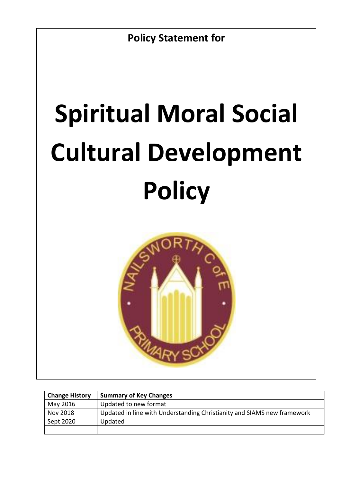# **Spiritual Moral Social Cultural Development Policy**



| <b>Change History</b> | <b>Summary of Key Changes</b>                                           |
|-----------------------|-------------------------------------------------------------------------|
| May 2016              | Updated to new format                                                   |
| Nov 2018              | Updated in line with Understanding Christianity and SIAMS new framework |
| Sept 2020             | Updated                                                                 |
|                       |                                                                         |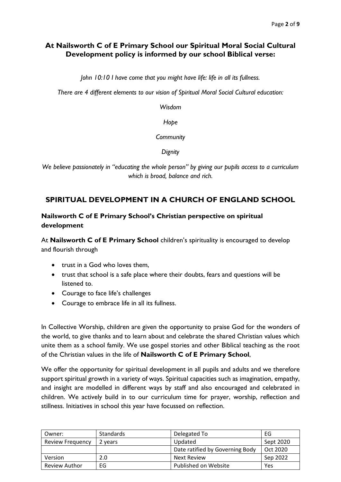# **At Nailsworth C of E Primary School our Spiritual Moral Social Cultural Development policy is informed by our school Biblical verse:**

*John 10:10 I have come that you might have life: life in all its fullness.*

*There are 4 different elements to our vision of Spiritual Moral Social Cultural education:*

*Wisdom*

*Hope*

#### *Community*

*Dignity*

*We believe passionately in "educating the whole person" by giving our pupils access to a curriculum which is broad, balance and rich.*

# **SPIRITUAL DEVELOPMENT IN A CHURCH OF ENGLAND SCHOOL**

## **Nailsworth C of E Primary School's Christian perspective on spiritual development**

At **Nailsworth C of E Primary School** children's spirituality is encouraged to develop and flourish through

- trust in a God who loves them.
- trust that school is a safe place where their doubts, fears and questions will be listened to.
- Courage to face life's challenges
- Courage to embrace life in all its fullness.

In Collective Worship, children are given the opportunity to praise God for the wonders of the world, to give thanks and to learn about and celebrate the shared Christian values which unite them as a school family. We use gospel stories and other Biblical teaching as the root of the Christian values in the life of **Nailsworth C of E Primary School**,

We offer the opportunity for spiritual development in all pupils and adults and we therefore support spiritual growth in a variety of ways. Spiritual capacities such as imagination, empathy, and insight are modelled in different ways by staff and also encouraged and celebrated in children. We actively build in to our curriculum time for prayer, worship, reflection and stillness. Initiatives in school this year have focussed on reflection.

| Owner:                  | Standards | Delegated To                    | EG        |
|-------------------------|-----------|---------------------------------|-----------|
| <b>Review Frequency</b> | 2 years   | Updated                         | Sept 2020 |
|                         |           | Date ratified by Governing Body | Oct 2020  |
| Version                 | 2.0       | <b>Next Review</b>              | Sep 2022  |
| <b>Review Author</b>    | EG        | Published on Website            | Yes       |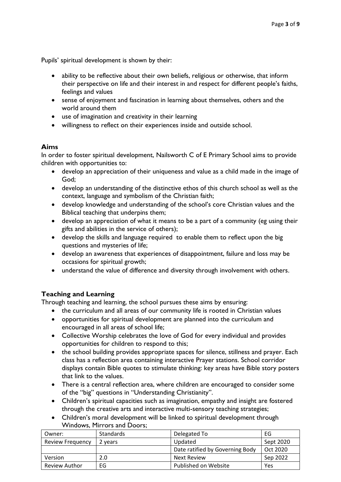Pupils' spiritual development is shown by their:

- ability to be reflective about their own beliefs, religious or otherwise, that inform their perspective on life and their interest in and respect for different people's faiths, feelings and values
- sense of enjoyment and fascination in learning about themselves, others and the world around them
- use of imagination and creativity in their learning
- willingness to reflect on their experiences inside and outside school.

#### **Aims**

In order to foster spiritual development, Nailsworth C of E Primary School aims to provide children with opportunities to:

- develop an appreciation of their uniqueness and value as a child made in the image of God;
- develop an understanding of the distinctive ethos of this church school as well as the context, language and symbolism of the Christian faith;
- develop knowledge and understanding of the school's core Christian values and the Biblical teaching that underpins them;
- develop an appreciation of what it means to be a part of a community (eg using their gifts and abilities in the service of others);
- develop the skills and language required to enable them to reflect upon the big questions and mysteries of life;
- develop an awareness that experiences of disappointment, failure and loss may be occasions for spiritual growth;
- understand the value of difference and diversity through involvement with others.

#### **Teaching and Learning**

Through teaching and learning, the school pursues these aims by ensuring:

- the curriculum and all areas of our community life is rooted in Christian values
- opportunities for spiritual development are planned into the curriculum and encouraged in all areas of school life;
- Collective Worship celebrates the love of God for every individual and provides opportunities for children to respond to this;
- the school building provides appropriate spaces for silence, stillness and prayer. Each class has a reflection area containing interactive Prayer stations. School corridor displays contain Bible quotes to stimulate thinking: key areas have Bible story posters that link to the values.
- There is a central reflection area, where children are encouraged to consider some of the "big" questions in "Understanding Christianity".
- Children's spiritual capacities such as imagination, empathy and insight are fostered through the creative arts and interactive multi-sensory teaching strategies;
- Children's moral development will be linked to spiritual development through Windows, Mirrors and Doors;

| Owner:                  | Standards | Delegated To                    | EG        |
|-------------------------|-----------|---------------------------------|-----------|
| <b>Review Frequency</b> | 2 years   | Updated                         | Sept 2020 |
|                         |           | Date ratified by Governing Body | Oct 2020  |
| Version                 | 2.0       | <b>Next Review</b>              | Sep 2022  |
| <b>Review Author</b>    | EG        | Published on Website            | Yes       |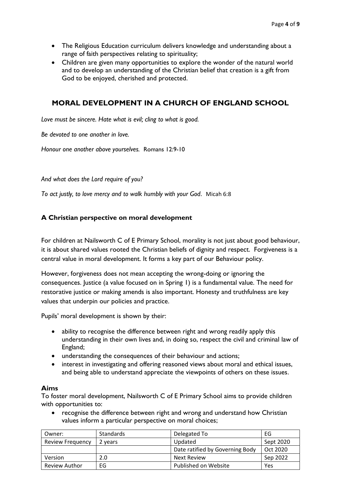- The Religious Education curriculum delivers knowledge and understanding about a range of faith perspectives relating to spirituality;
- Children are given many opportunities to explore the wonder of the natural world and to develop an understanding of the Christian belief that creation is a gift from God to be enjoyed, cherished and protected.

# **MORAL DEVELOPMENT IN A CHURCH OF ENGLAND SCHOOL**

*Love must be sincere. Hate what is evil; cling to what is good.*

*Be devoted to one another in love.*

*Honour one another above yourselves.* Romans 12:9-10

*And what does the Lord require of you?* 

*To act justly, to love mercy and to walk humbly with your God*. [Micah 6:8](http://www.biblegateway.com/passage/?search=micah+6:8&version=niv)

#### **A Christian perspective on moral development**

For children at Nailsworth C of E Primary School, morality is not just about good behaviour, it is about shared values rooted the Christian beliefs of dignity and respect. Forgiveness is a central value in moral development. It forms a key part of our Behaviour policy.

However, forgiveness does not mean accepting the wrong-doing or ignoring the consequences. Justice (a value focused on in Spring 1) is a fundamental value. The need for restorative justice or making amends is also important. Honesty and truthfulness are key values that underpin our policies and practice.

Pupils' moral development is shown by their:

- ability to recognise the difference between right and wrong readily apply this understanding in their own lives and, in doing so, respect the civil and criminal law of England;
- understanding the consequences of their behaviour and actions;
- interest in investigating and offering reasoned views about moral and ethical issues, and being able to understand appreciate the viewpoints of others on these issues.

#### **Aims**

To foster moral development, Nailsworth C of E Primary School aims to provide children with opportunities to:

• recognise the difference between right and wrong and understand how Christian values inform a particular perspective on moral choices;

| Owner:                  | <b>Standards</b> | Delegated To                    | EG        |
|-------------------------|------------------|---------------------------------|-----------|
| <b>Review Frequency</b> | 2 years          | Updated                         | Sept 2020 |
|                         |                  | Date ratified by Governing Body | Oct 2020  |
| Version                 | 2.0              | Next Review                     | Sep 2022  |
| <b>Review Author</b>    | EG               | Published on Website            | Yes       |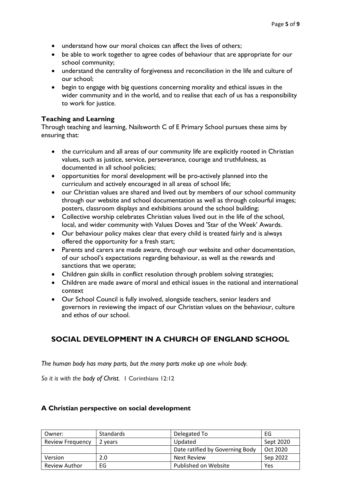- understand how our moral choices can affect the lives of others:
- be able to work together to agree codes of behaviour that are appropriate for our school community;
- understand the centrality of forgiveness and reconciliation in the life and culture of our school;
- begin to engage with big questions concerning morality and ethical issues in the wider community and in the world, and to realise that each of us has a responsibility to work for justice.

#### **Teaching and Learning**

Through teaching and learning, Nailsworth C of E Primary School pursues these aims by ensuring that:

- the curriculum and all areas of our community life are explicitly rooted in Christian values, such as justice, service, perseverance, courage and truthfulness, as documented in all school policies;
- opportunities for moral development will be pro-actively planned into the curriculum and actively encouraged in all areas of school life;
- our Christian values are shared and lived out by members of our school community through our website and school documentation as well as through colourful images; posters, classroom displays and exhibitions around the school building;
- Collective worship celebrates Christian values lived out in the life of the school, local, and wider community with Values Doves and 'Star of the Week' Awards.
- Our behaviour policy makes clear that every child is treated fairly and is always offered the opportunity for a fresh start;
- Parents and carers are made aware, through our website and other documentation, of our school's expectations regarding behaviour, as well as the rewards and sanctions that we operate;
- Children gain skills in conflict resolution through problem solving strategies;
- Children are made aware of moral and ethical issues in the national and international context
- Our School Council is fully involved, alongside teachers, senior leaders and governors in reviewing the impact of our Christian values on the behaviour, culture and ethos of our school.

# **SOCIAL DEVELOPMENT IN A CHURCH OF ENGLAND SCHOOL**

*The human body has many parts, but the many parts make up one whole body.* 

*So it is with the body of Christ.* 1 Corinthians 12:12

#### **A Christian perspective on social development**

| Owner:                  | <b>Standards</b> | Delegated To                    | EG        |
|-------------------------|------------------|---------------------------------|-----------|
| <b>Review Frequency</b> | 2 years          | Updated                         | Sept 2020 |
|                         |                  | Date ratified by Governing Body | Oct 2020  |
| Version                 | 2.0              | <b>Next Review</b>              | Sep 2022  |
| <b>Review Author</b>    | EG               | Published on Website            | Yes       |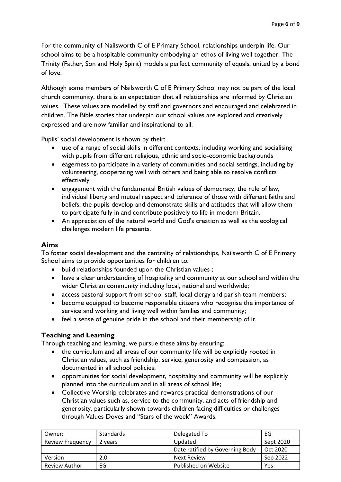For the community of Nailsworth C of E Primary School, relationships underpin life. Our school aims to be a hospitable community embodying an ethos of living well together. The Trinity (Father, Son and Holy Spirit) models a perfect community of equals, united by a bond of love.

Although some members of Nailsworth C of E Primary School may not be part of the local church community, there is an expectation that all relationships are informed by Christian values. These values are modelled by staff and governors and encouraged and celebrated in children. The Bible stories that underpin our school values are explored and creatively expressed and are now familiar and inspirational to all.

Pupils' social development is shown by their:

- use of a range of social skills in different contexts, including working and socialising with pupils from different religious, ethnic and socio-economic backgrounds
- eagerness to participate in a variety of communities and social settings, including by volunteering, cooperating well with others and being able to resolve conflicts effectively
- engagement with the fundamental British values of democracy, the rule of law, individual liberty and mutual respect and tolerance of those with different faiths and beliefs; the pupils develop and demonstrate skills and attitudes that will allow them to participate fully in and contribute positively to life in modern Britain.
- An appreciation of the natural world and God's creation as well as the ecological challenges modern life presents.

#### **Aims**

To foster social development and the centrality of relationships, Nailsworth C of E Primary School aims to provide opportunities for children to:

- build relationships founded upon the Christian values ;
- have a clear understanding of hospitality and community at our school and within the wider Christian community including local, national and worldwide;
- access pastoral support from school staff, local clergy and parish team members;
- become equipped to become responsible citizens who recognise the importance of service and working and living well within families and community;
- feel a sense of genuine pride in the school and their membership of it.

## **Teaching and Learning**

Through teaching and learning, we pursue these aims by ensuring:

- the curriculum and all areas of our community life will be explicitly rooted in Christian values, such as friendship, service, generosity and compassion, as documented in all school policies;
- opportunities for social development, hospitality and community will be explicitly planned into the curriculum and in all areas of school life;
- Collective Worship celebrates and rewards practical demonstrations of our Christian values such as, service to the community, and acts of friendship and generosity, particularly shown towards children facing difficulties or challenges through Values Doves and "Stars of the week" Awards.

| Owner:                  | <b>Standards</b> | Delegated To                    | EG        |
|-------------------------|------------------|---------------------------------|-----------|
| <b>Review Frequency</b> | 2 years          | Updated                         | Sept 2020 |
|                         |                  | Date ratified by Governing Body | Oct 2020  |
| Version                 | 2.0              | Next Review                     | Sep 2022  |
| <b>Review Author</b>    | EG               | Published on Website            | Yes       |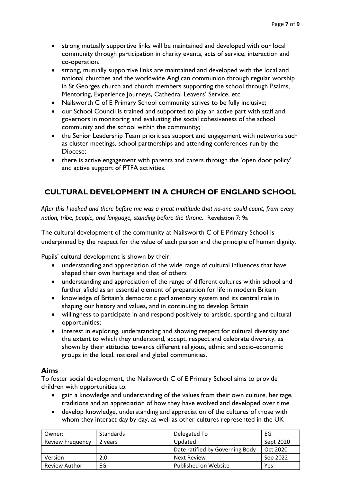- strong mutually supportive links will be maintained and developed with our local community through participation in charity events, acts of service, interaction and co-operation.
- strong, mutually supportive links are maintained and developed with the local and national churches and the worldwide Anglican communion through regular worship in St Georges church and church members supporting the school through Psalms, Mentoring, Experience Journeys, Cathedral Leavers' Service, etc.
- Nailsworth C of E Primary School community strives to be fully inclusive;
- our School Council is trained and supported to play an active part with staff and governors in monitoring and evaluating the social cohesiveness of the school community and the school within the community;
- the Senior Leadership Team prioritises support and engagement with networks such as cluster meetings, school partnerships and attending conferences run by the Diocese;
- there is active engagement with parents and carers through the 'open door policy' and active support of PTFA activities.

# **CULTURAL DEVELOPMENT IN A CHURCH OF ENGLAND SCHOOL**

*After this I looked and there before me was a great multitude that no-one could count, from every nation, tribe, people, and language, standing before the throne.* Revelation 7: 9a

The cultural development of the community at Nailsworth C of E Primary School is underpinned by the respect for the value of each person and the principle of human dignity.

Pupils' cultural development is shown by their:

- understanding and appreciation of the wide range of cultural influences that have shaped their own heritage and that of others
- understanding and appreciation of the range of different cultures within school and further afield as an essential element of preparation for life in modern Britain
- knowledge of Britain's democratic parliamentary system and its central role in shaping our history and values, and in continuing to develop Britain
- willingness to participate in and respond positively to artistic, sporting and cultural opportunities;
- interest in exploring, understanding and showing respect for cultural diversity and the extent to which they understand, accept, respect and celebrate diversity, as shown by their attitudes towards different religious, ethnic and socio-economic groups in the local, national and global communities.

#### **Aims**

To foster social development, the Nailsworth C of E Primary School aims to provide children with opportunities to:

- gain a knowledge and understanding of the values from their own culture, heritage, traditions and an appreciation of how they have evolved and developed over time
- develop knowledge, understanding and appreciation of the cultures of those with whom they interact day by day, as well as other cultures represented in the UK

| Owner:                  | <b>Standards</b> | Delegated To                    | EG        |
|-------------------------|------------------|---------------------------------|-----------|
| <b>Review Frequency</b> | 2 years          | Updated                         | Sept 2020 |
|                         |                  | Date ratified by Governing Body | Oct 2020  |
| <b>Version</b>          | 2.0              | Next Review                     | Sep 2022  |
| <b>Review Author</b>    | EG               | Published on Website            | Yes       |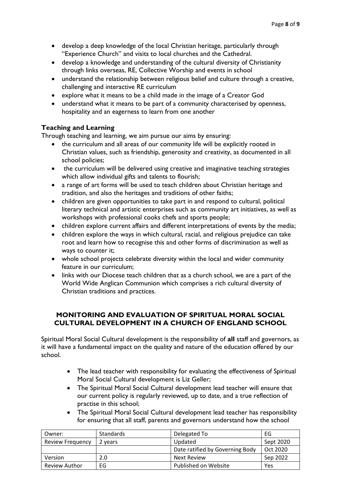- develop a deep knowledge of the local Christian heritage, particularly through "Experience Church" and visits to local churches and the Cathedral.
- develop a knowledge and understanding of the cultural diversity of Christianity through links overseas, RE, Collective Worship and events in school
- understand the relationship between religious belief and culture through a creative, challenging and interactive RE curriculum
- explore what it means to be a child made in the image of a Creator God
- understand what it means to be part of a community characterised by openness, hospitality and an eagerness to learn from one another

## **Teaching and Learning**

Through teaching and learning, we aim pursue our aims by ensuring:

- the curriculum and all areas of our community life will be explicitly rooted in Christian values, such as friendship, generosity and creativity, as documented in all school policies;
- the curriculum will be delivered using creative and imaginative teaching strategies which allow individual gifts and talents to flourish;
- a range of art forms will be used to teach children about Christian heritage and tradition, and also the heritages and traditions of other faiths;
- children are given opportunities to take part in and respond to cultural, political literary technical and artistic enterprises such as community art initiatives, as well as workshops with professional cooks chefs and sports people;
- children explore current affairs and different interpretations of events by the media;
- children explore the ways in which cultural, racial, and religious prejudice can take root and learn how to recognise this and other forms of discrimination as well as ways to counter it;
- whole school projects celebrate diversity within the local and wider community feature in our curriculum;
- links with our Diocese teach children that as a church school, we are a part of the World Wide Anglican Communion which comprises a rich cultural diversity of Christian traditions and practices.

### **MONITORING AND EVALUATION OF SPIRITUAL MORAL SOCIAL CULTURAL DEVELOPMENT IN A CHURCH OF ENGLAND SCHOOL**

Spiritual Moral Social Cultural development is the responsibility of **all** staff and governors, as it will have a fundamental impact on the quality and nature of the education offered by our school.

- The lead teacher with responsibility for evaluating the effectiveness of Spiritual Moral Social Cultural development is Liz Geller;
- The Spiritual Moral Social Cultural development lead teacher will ensure that our current policy is regularly reviewed, up to date, and a true reflection of practise in this school;
- The Spiritual Moral Social Cultural development lead teacher has responsibility for ensuring that all staff, parents and governors understand how the school

| Owner:                  | <b>Standards</b> | Delegated To                    | EG        |
|-------------------------|------------------|---------------------------------|-----------|
| <b>Review Frequency</b> | 2 years          | Updated                         | Sept 2020 |
|                         |                  | Date ratified by Governing Body | Oct 2020  |
| Version                 | 2.0              | <b>Next Review</b>              | Sep 2022  |
| <b>Review Author</b>    | EG               | Published on Website            | Yes       |